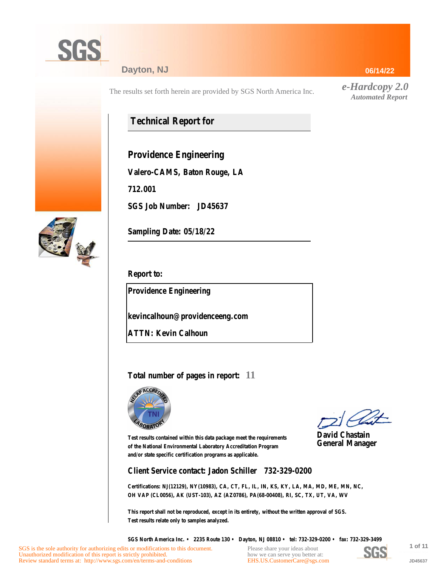

## **Dayton, NJ**

The results set forth herein are provided by SGS North America Inc.

# **Technical Report for**

**Providence Engineering**

**Valero-CAMS, Baton Rouge, LA**

**712.001**

**SGS Job Number: JD45637**



**Sampling Date: 05/18/22**

**Report to:**

**Providence Engineering**

**kevincalhoun@providenceeng.com**

**ATTN: Kevin Calhoun**

# **Total number of pages in report: 11**



**David Chastain General Manager**

**Test results contained within this data package meet the requirements of the National Environmental Laboratory Accreditation Program and/or state specific certification programs as applicable.**

**Client Service contact: Jadon Schiller 732-329-0200**

**Certifications: NJ(12129), NY(10983), CA, CT, FL, IL, IN, KS, KY, LA, MA, MD, ME, MN, NC, OH VAP (CL0056), AK (UST-103), AZ (AZ0786), PA(68-00408), RI, SC, TX, UT, VA, WV**

**This report shall not be reproduced, except in its entirety, without the written approval of SGS. Test results relate only to samples analyzed.**

**SGS North America Inc. • 2235 Route 130 • Dayton, NJ 08810 • tel: 732-329-0200 • fax: 732-329-3499**

Please share your ideas about how we can serve you better at: [EHS.US.CustomerCare@sgs.com](mailto:EHS.US.CustomerCare@sgs.com?subject=Customer care improvement idea (report JD45637))



**1 of 11 JD45637**

#### **06/14/22**

*e-Hardcopy 2.0 Automated Report*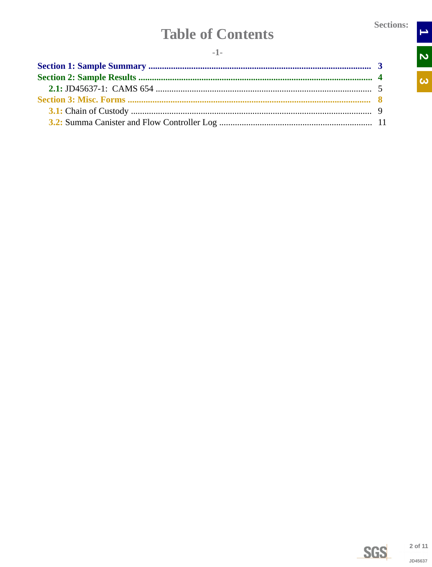$\rightarrow$ 

N<br>N

 $\overline{\omega}$ 

# **Table of Contents**

<span id="page-1-0"></span>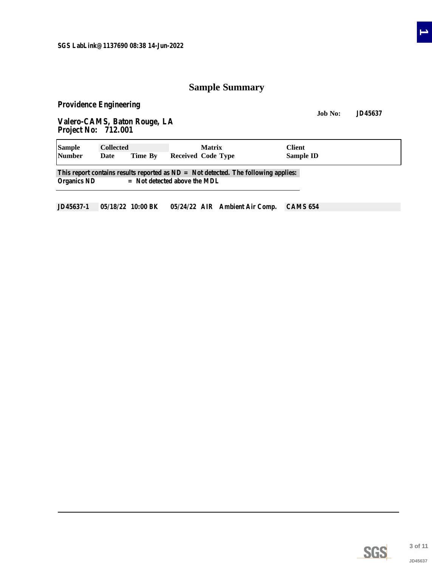# **Sample Summary**

<span id="page-2-0"></span>**Providence Engineering**

**Job No: JD45637 Valero-CAMS, Baton Rouge, LA Project No: 712.001**

| <b>Sample</b>      | <b>Collected</b> |         | <b>Matrix</b>                                                                                                          | Client           |  |
|--------------------|------------------|---------|------------------------------------------------------------------------------------------------------------------------|------------------|--|
| <b>Number</b>      | Date             | Time By | Received Code Type                                                                                                     | <b>Sample ID</b> |  |
| <b>Organics ND</b> |                  |         | This report contains results reported as $ND = Not$ detected. The following applies:<br>$=$ Not detected above the MDL |                  |  |

**JD45637-1 05/18/22 10:00 BK 05/24/22 AIR Ambient Air Comp. CAMS 654**



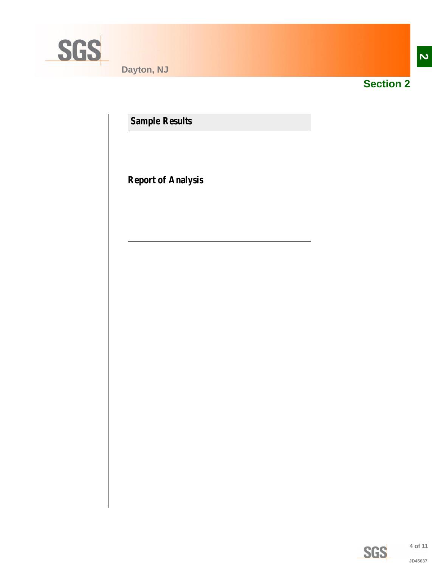<span id="page-3-0"></span>

**Dayton, NJ**



**Section 2**

**Sample Results**

**Report of Analysis**

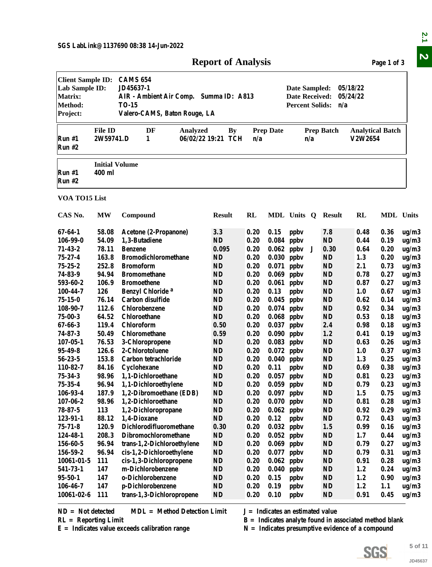<span id="page-4-0"></span>

| <b>Client Sample ID:</b><br><b>CAMS 654</b><br>JD45637-1<br>Lab Sample ID:<br>05/18/22<br>Date Sampled:<br>AIR - Ambient Air Comp. Summa ID: A813<br><b>Date Received:</b><br>05/24/22<br><b>TO-15</b><br><b>Percent Solids:</b><br>n/a<br>Valero-CAMS, Baton Rouge, LA<br><b>File ID</b><br>DF<br><b>By</b><br><b>Prep Date</b><br><b>Prep Batch</b><br><b>Analytical Batch</b><br>Analyzed<br>2W59741.D<br>1<br>06/02/22 19:21 TCH<br>V2W2654<br>n/a<br>n/a<br><b>Initial Volume</b><br>400 ml<br>Run #1<br><b>Run #2</b><br>VOA TO15 List<br><b>RL</b><br>MDL Units<br><b>MW</b><br>Compound<br><b>Result</b><br>MDL Units Q<br><b>Result</b><br>RL<br>$67 - 64 - 1$<br>58.08<br>3.3<br>0.20<br>0.36<br>Acetone (2-Propanone)<br>0.15<br>ppby<br>7.8<br>0.48<br><b>ND</b><br>106-99-0<br>54.09<br>1,3-Butadiene<br>0.20<br>0.084<br>ppbv<br><b>ND</b><br>0.44<br>0.19<br>$71 - 43 - 2$<br>0.20<br>78.11<br>0.095<br>0.062<br>ppby<br>0.30<br>0.20<br><b>Benzene</b><br>J<br>0.64<br>$75 - 27 - 4$<br>163.8<br><b>Bromodichloromethane</b><br><b>ND</b><br>0.20<br>0.030<br>ppby<br><b>ND</b><br>1.3<br>0.20<br>252.8<br>$75 - 25 - 2$<br><b>Bromoform</b><br><b>ND</b><br>0.20<br>0.071<br>ppby<br><b>ND</b><br>2.1<br>0.73<br>74-83-9<br>94.94<br><b>Bromomethane</b><br><b>ND</b><br>0.20<br>0.069<br><b>ND</b><br>0.27<br>ppby<br>0.78<br>593-60-2<br>106.9<br><b>Bromoethene</b><br><b>ND</b><br>0.20<br>ppby<br><b>ND</b><br>0.87<br>0.27<br>0.061<br>0.20<br>126<br>Benzyl Chloride <sup>a</sup><br><b>ND</b><br>0.13<br>ppby<br><b>ND</b><br>0.67<br>100-44-7<br>1.0<br>$75 - 15 - 0$<br>76.14<br>Carbon disulfide<br><b>ND</b><br>0.20<br>ppby<br><b>ND</b><br>0.045<br>0.62<br>0.14<br>0.20<br>108-90-7<br>112.6<br>Chlorobenzene<br><b>ND</b><br>0.074<br>ppby<br><b>ND</b><br>0.92<br>0.34<br>ND<br>ND<br>$75 - 00 - 3$<br>64.52<br><b>Chloroethane</b><br>0.20<br>0.068<br>ppby<br>0.53<br>0.18<br>0.20<br>$67 - 66 - 3$<br>119.4<br>Chloroform<br>0.50<br>0.037<br>ppby<br>2.4<br>0.98<br>0.18<br>$74 - 87 - 3$<br>50.49<br>Chloromethane<br>0.20<br>1.2<br>0.59<br>0.090<br>ppby<br>0.41<br>0.19<br>$107 - 05 - 1$<br>76.53<br><b>ND</b><br>0.20<br>0.083<br><b>ND</b><br>0.63<br>0.26<br>3-Chloropropene<br>ppby<br>2-Chlorotoluene<br>$95 - 49 - 8$<br>126.6<br><b>ND</b><br>0.20<br>0.072<br><b>ND</b><br>1.0<br>0.37<br>ppby<br>$56 - 23 - 5$<br>153.8<br>0.20<br><b>ND</b><br>1.3<br>Carbon tetrachloride<br><b>ND</b><br>$0.040$ ppbv<br>0.25<br><b>ND</b><br>0.20<br><b>ND</b><br>0.38<br>110-82-7<br>Cyclohexane<br>0.11<br>0.69<br>84.16<br>ppby<br>1,1-Dichloroethane<br><b>ND</b><br>0.20<br>0.81<br>0.23<br>75-34-3<br>98.96<br>$0.057$ ppbv<br><b>ND</b><br>ug/m3<br>$\mathbf{N}\mathbf{D}$<br>$75 - 35 - 4$<br>96.94<br>1,1-Dichloroethylene<br>0.20<br>$0.059$ ppbv<br><b>ND</b><br>0.79<br>0.23<br>ug/m3<br>0.20<br>106-93-4<br>187.9<br>1,2-Dibromoethane (EDB)<br>ND<br>$0.097$ ppbv<br><b>ND</b><br>1.5<br>0.75<br>ug/m3<br>$107 - 06 - 2$<br>98.96<br>1,2-Dichloroethane<br>ND<br>0.20<br><b>ND</b><br>0.81<br>$0.070$ ppbv<br>0.28<br>$78 - 87 - 5$<br>113<br>ND<br>0.20<br>$0.062$ ppbv<br><b>ND</b><br>0.92<br>1,2-Dichloropropane<br>0.29<br>123-91-1<br>88.12<br>ND<br>0.20<br>0.12<br><b>ND</b><br>0.72<br>1,4-Dioxane<br>ppby<br>0.43<br>Dichlorodifluoromethane<br>$75 - 71 - 8$<br>120.9<br>0.30<br>0.20<br>$0.032$ ppbv<br>1.5<br>0.99<br>0.16<br>0.20<br>124-48-1<br>208.3<br>Dibromochloromethane<br>ND<br>$0.052$ ppbv<br><b>ND</b><br>1.7<br>0.44<br>ug/m3<br>96.94<br><b>ND</b><br>0.20<br><b>ND</b><br>156-60-5<br>trans-1,2-Dichloroethylene<br>$0.069$ ppbv<br>0.79<br>0.27<br>ug/m3<br>156-59-2<br>96.94<br>ND<br>0.20<br><b>ND</b><br>0.31<br>cis-1,2-Dichloroethylene<br>0.077<br>ppby<br>0.79<br>ug/m3<br>ND<br>111<br>cis-1,3-Dichloropropene<br>0.20<br>ppby<br><b>ND</b><br>10061-01-5<br>0.062<br>0.91<br>0.28<br>ug/m3<br>541-73-1<br>147<br>m-Dichlorobenzene<br>ND<br>0.20<br><b>ND</b><br>1.2<br>0.24<br>0.040<br>ppby<br>ug/m3<br>$95 - 50 - 1$<br>147<br>o-Dichlorobenzene<br><b>ND</b><br>0.20<br><b>ND</b><br>1.2<br>0.15<br>ppby<br>0.90<br>ug/m3<br><b>ND</b><br>0.20<br><b>ND</b><br>1.2<br>106-46-7<br>147<br>p-Dichlorobenzene<br>0.19<br>ppby<br>1.1<br>ug/m3<br>$10061 - 02 - 6$<br>111<br>trans-1,3-Dichloropropene<br><b>ND</b><br>0.20<br><b>ND</b><br>0.10<br>ppby<br>0.91<br>0.45<br><b>MDL</b> = Method Detection Limit<br>$ND = Not detected$<br>$J = Indicates$ an estimated value<br>$B =$ Indicates analyte found in associated method blank<br>$RL =$ Reporting Limit<br>$E =$ Indicates value exceeds calibration range<br>$N =$ Indicates presumptive evidence of a compound |                                              |  | <b>Report of Analysis</b> |  |  | Page 1 of 3 |         |
|-------------------------------------------------------------------------------------------------------------------------------------------------------------------------------------------------------------------------------------------------------------------------------------------------------------------------------------------------------------------------------------------------------------------------------------------------------------------------------------------------------------------------------------------------------------------------------------------------------------------------------------------------------------------------------------------------------------------------------------------------------------------------------------------------------------------------------------------------------------------------------------------------------------------------------------------------------------------------------------------------------------------------------------------------------------------------------------------------------------------------------------------------------------------------------------------------------------------------------------------------------------------------------------------------------------------------------------------------------------------------------------------------------------------------------------------------------------------------------------------------------------------------------------------------------------------------------------------------------------------------------------------------------------------------------------------------------------------------------------------------------------------------------------------------------------------------------------------------------------------------------------------------------------------------------------------------------------------------------------------------------------------------------------------------------------------------------------------------------------------------------------------------------------------------------------------------------------------------------------------------------------------------------------------------------------------------------------------------------------------------------------------------------------------------------------------------------------------------------------------------------------------------------------------------------------------------------------------------------------------------------------------------------------------------------------------------------------------------------------------------------------------------------------------------------------------------------------------------------------------------------------------------------------------------------------------------------------------------------------------------------------------------------------------------------------------------------------------------------------------------------------------------------------------------------------------------------------------------------------------------------------------------------------------------------------------------------------------------------------------------------------------------------------------------------------------------------------------------------------------------------------------------------------------------------------------------------------------------------------------------------------------------------------------------------------------------------------------------------------------------------------------------------------------------------------------------------------------------------------------------------------------------------------------------------------------------------------------------------------------------------------------------------------------------------------------------------------------------------------------------------------------------------------------------------------------------------------------------------------------------------------------------------------------------------------------------------------------------------------------------------------------------------------------------------------------------------------------------------------------------------------------------------------------------------------------------------------------------------------------------------------------------------------------------|----------------------------------------------|--|---------------------------|--|--|-------------|---------|
|                                                                                                                                                                                                                                                                                                                                                                                                                                                                                                                                                                                                                                                                                                                                                                                                                                                                                                                                                                                                                                                                                                                                                                                                                                                                                                                                                                                                                                                                                                                                                                                                                                                                                                                                                                                                                                                                                                                                                                                                                                                                                                                                                                                                                                                                                                                                                                                                                                                                                                                                                                                                                                                                                                                                                                                                                                                                                                                                                                                                                                                                                                                                                                                                                                                                                                                                                                                                                                                                                                                                                                                                                                                                                                                                                                                                                                                                                                                                                                                                                                                                                                                                                                                                                                                                                                                                                                                                                                                                                                                                                                                                                                                                         | <b>Matrix:</b><br><b>Method:</b><br>Project: |  |                           |  |  |             |         |
|                                                                                                                                                                                                                                                                                                                                                                                                                                                                                                                                                                                                                                                                                                                                                                                                                                                                                                                                                                                                                                                                                                                                                                                                                                                                                                                                                                                                                                                                                                                                                                                                                                                                                                                                                                                                                                                                                                                                                                                                                                                                                                                                                                                                                                                                                                                                                                                                                                                                                                                                                                                                                                                                                                                                                                                                                                                                                                                                                                                                                                                                                                                                                                                                                                                                                                                                                                                                                                                                                                                                                                                                                                                                                                                                                                                                                                                                                                                                                                                                                                                                                                                                                                                                                                                                                                                                                                                                                                                                                                                                                                                                                                                                         | Run#1<br><b>Run #2</b>                       |  |                           |  |  |             |         |
|                                                                                                                                                                                                                                                                                                                                                                                                                                                                                                                                                                                                                                                                                                                                                                                                                                                                                                                                                                                                                                                                                                                                                                                                                                                                                                                                                                                                                                                                                                                                                                                                                                                                                                                                                                                                                                                                                                                                                                                                                                                                                                                                                                                                                                                                                                                                                                                                                                                                                                                                                                                                                                                                                                                                                                                                                                                                                                                                                                                                                                                                                                                                                                                                                                                                                                                                                                                                                                                                                                                                                                                                                                                                                                                                                                                                                                                                                                                                                                                                                                                                                                                                                                                                                                                                                                                                                                                                                                                                                                                                                                                                                                                                         |                                              |  |                           |  |  |             |         |
|                                                                                                                                                                                                                                                                                                                                                                                                                                                                                                                                                                                                                                                                                                                                                                                                                                                                                                                                                                                                                                                                                                                                                                                                                                                                                                                                                                                                                                                                                                                                                                                                                                                                                                                                                                                                                                                                                                                                                                                                                                                                                                                                                                                                                                                                                                                                                                                                                                                                                                                                                                                                                                                                                                                                                                                                                                                                                                                                                                                                                                                                                                                                                                                                                                                                                                                                                                                                                                                                                                                                                                                                                                                                                                                                                                                                                                                                                                                                                                                                                                                                                                                                                                                                                                                                                                                                                                                                                                                                                                                                                                                                                                                                         |                                              |  |                           |  |  |             |         |
|                                                                                                                                                                                                                                                                                                                                                                                                                                                                                                                                                                                                                                                                                                                                                                                                                                                                                                                                                                                                                                                                                                                                                                                                                                                                                                                                                                                                                                                                                                                                                                                                                                                                                                                                                                                                                                                                                                                                                                                                                                                                                                                                                                                                                                                                                                                                                                                                                                                                                                                                                                                                                                                                                                                                                                                                                                                                                                                                                                                                                                                                                                                                                                                                                                                                                                                                                                                                                                                                                                                                                                                                                                                                                                                                                                                                                                                                                                                                                                                                                                                                                                                                                                                                                                                                                                                                                                                                                                                                                                                                                                                                                                                                         | CAS No.                                      |  |                           |  |  |             |         |
|                                                                                                                                                                                                                                                                                                                                                                                                                                                                                                                                                                                                                                                                                                                                                                                                                                                                                                                                                                                                                                                                                                                                                                                                                                                                                                                                                                                                                                                                                                                                                                                                                                                                                                                                                                                                                                                                                                                                                                                                                                                                                                                                                                                                                                                                                                                                                                                                                                                                                                                                                                                                                                                                                                                                                                                                                                                                                                                                                                                                                                                                                                                                                                                                                                                                                                                                                                                                                                                                                                                                                                                                                                                                                                                                                                                                                                                                                                                                                                                                                                                                                                                                                                                                                                                                                                                                                                                                                                                                                                                                                                                                                                                                         |                                              |  |                           |  |  |             | ug/m3   |
|                                                                                                                                                                                                                                                                                                                                                                                                                                                                                                                                                                                                                                                                                                                                                                                                                                                                                                                                                                                                                                                                                                                                                                                                                                                                                                                                                                                                                                                                                                                                                                                                                                                                                                                                                                                                                                                                                                                                                                                                                                                                                                                                                                                                                                                                                                                                                                                                                                                                                                                                                                                                                                                                                                                                                                                                                                                                                                                                                                                                                                                                                                                                                                                                                                                                                                                                                                                                                                                                                                                                                                                                                                                                                                                                                                                                                                                                                                                                                                                                                                                                                                                                                                                                                                                                                                                                                                                                                                                                                                                                                                                                                                                                         |                                              |  |                           |  |  |             | ug/m3   |
|                                                                                                                                                                                                                                                                                                                                                                                                                                                                                                                                                                                                                                                                                                                                                                                                                                                                                                                                                                                                                                                                                                                                                                                                                                                                                                                                                                                                                                                                                                                                                                                                                                                                                                                                                                                                                                                                                                                                                                                                                                                                                                                                                                                                                                                                                                                                                                                                                                                                                                                                                                                                                                                                                                                                                                                                                                                                                                                                                                                                                                                                                                                                                                                                                                                                                                                                                                                                                                                                                                                                                                                                                                                                                                                                                                                                                                                                                                                                                                                                                                                                                                                                                                                                                                                                                                                                                                                                                                                                                                                                                                                                                                                                         |                                              |  |                           |  |  |             | ug/m3   |
|                                                                                                                                                                                                                                                                                                                                                                                                                                                                                                                                                                                                                                                                                                                                                                                                                                                                                                                                                                                                                                                                                                                                                                                                                                                                                                                                                                                                                                                                                                                                                                                                                                                                                                                                                                                                                                                                                                                                                                                                                                                                                                                                                                                                                                                                                                                                                                                                                                                                                                                                                                                                                                                                                                                                                                                                                                                                                                                                                                                                                                                                                                                                                                                                                                                                                                                                                                                                                                                                                                                                                                                                                                                                                                                                                                                                                                                                                                                                                                                                                                                                                                                                                                                                                                                                                                                                                                                                                                                                                                                                                                                                                                                                         |                                              |  |                           |  |  |             | ug/m3   |
|                                                                                                                                                                                                                                                                                                                                                                                                                                                                                                                                                                                                                                                                                                                                                                                                                                                                                                                                                                                                                                                                                                                                                                                                                                                                                                                                                                                                                                                                                                                                                                                                                                                                                                                                                                                                                                                                                                                                                                                                                                                                                                                                                                                                                                                                                                                                                                                                                                                                                                                                                                                                                                                                                                                                                                                                                                                                                                                                                                                                                                                                                                                                                                                                                                                                                                                                                                                                                                                                                                                                                                                                                                                                                                                                                                                                                                                                                                                                                                                                                                                                                                                                                                                                                                                                                                                                                                                                                                                                                                                                                                                                                                                                         |                                              |  |                           |  |  |             | ug/m3   |
|                                                                                                                                                                                                                                                                                                                                                                                                                                                                                                                                                                                                                                                                                                                                                                                                                                                                                                                                                                                                                                                                                                                                                                                                                                                                                                                                                                                                                                                                                                                                                                                                                                                                                                                                                                                                                                                                                                                                                                                                                                                                                                                                                                                                                                                                                                                                                                                                                                                                                                                                                                                                                                                                                                                                                                                                                                                                                                                                                                                                                                                                                                                                                                                                                                                                                                                                                                                                                                                                                                                                                                                                                                                                                                                                                                                                                                                                                                                                                                                                                                                                                                                                                                                                                                                                                                                                                                                                                                                                                                                                                                                                                                                                         |                                              |  |                           |  |  |             | ug/m3   |
|                                                                                                                                                                                                                                                                                                                                                                                                                                                                                                                                                                                                                                                                                                                                                                                                                                                                                                                                                                                                                                                                                                                                                                                                                                                                                                                                                                                                                                                                                                                                                                                                                                                                                                                                                                                                                                                                                                                                                                                                                                                                                                                                                                                                                                                                                                                                                                                                                                                                                                                                                                                                                                                                                                                                                                                                                                                                                                                                                                                                                                                                                                                                                                                                                                                                                                                                                                                                                                                                                                                                                                                                                                                                                                                                                                                                                                                                                                                                                                                                                                                                                                                                                                                                                                                                                                                                                                                                                                                                                                                                                                                                                                                                         |                                              |  |                           |  |  |             | ug/m3   |
|                                                                                                                                                                                                                                                                                                                                                                                                                                                                                                                                                                                                                                                                                                                                                                                                                                                                                                                                                                                                                                                                                                                                                                                                                                                                                                                                                                                                                                                                                                                                                                                                                                                                                                                                                                                                                                                                                                                                                                                                                                                                                                                                                                                                                                                                                                                                                                                                                                                                                                                                                                                                                                                                                                                                                                                                                                                                                                                                                                                                                                                                                                                                                                                                                                                                                                                                                                                                                                                                                                                                                                                                                                                                                                                                                                                                                                                                                                                                                                                                                                                                                                                                                                                                                                                                                                                                                                                                                                                                                                                                                                                                                                                                         |                                              |  |                           |  |  |             | ug/m3   |
|                                                                                                                                                                                                                                                                                                                                                                                                                                                                                                                                                                                                                                                                                                                                                                                                                                                                                                                                                                                                                                                                                                                                                                                                                                                                                                                                                                                                                                                                                                                                                                                                                                                                                                                                                                                                                                                                                                                                                                                                                                                                                                                                                                                                                                                                                                                                                                                                                                                                                                                                                                                                                                                                                                                                                                                                                                                                                                                                                                                                                                                                                                                                                                                                                                                                                                                                                                                                                                                                                                                                                                                                                                                                                                                                                                                                                                                                                                                                                                                                                                                                                                                                                                                                                                                                                                                                                                                                                                                                                                                                                                                                                                                                         |                                              |  |                           |  |  |             | ug/m3   |
|                                                                                                                                                                                                                                                                                                                                                                                                                                                                                                                                                                                                                                                                                                                                                                                                                                                                                                                                                                                                                                                                                                                                                                                                                                                                                                                                                                                                                                                                                                                                                                                                                                                                                                                                                                                                                                                                                                                                                                                                                                                                                                                                                                                                                                                                                                                                                                                                                                                                                                                                                                                                                                                                                                                                                                                                                                                                                                                                                                                                                                                                                                                                                                                                                                                                                                                                                                                                                                                                                                                                                                                                                                                                                                                                                                                                                                                                                                                                                                                                                                                                                                                                                                                                                                                                                                                                                                                                                                                                                                                                                                                                                                                                         |                                              |  |                           |  |  |             | ug/m3   |
|                                                                                                                                                                                                                                                                                                                                                                                                                                                                                                                                                                                                                                                                                                                                                                                                                                                                                                                                                                                                                                                                                                                                                                                                                                                                                                                                                                                                                                                                                                                                                                                                                                                                                                                                                                                                                                                                                                                                                                                                                                                                                                                                                                                                                                                                                                                                                                                                                                                                                                                                                                                                                                                                                                                                                                                                                                                                                                                                                                                                                                                                                                                                                                                                                                                                                                                                                                                                                                                                                                                                                                                                                                                                                                                                                                                                                                                                                                                                                                                                                                                                                                                                                                                                                                                                                                                                                                                                                                                                                                                                                                                                                                                                         |                                              |  |                           |  |  |             | ug/m3   |
|                                                                                                                                                                                                                                                                                                                                                                                                                                                                                                                                                                                                                                                                                                                                                                                                                                                                                                                                                                                                                                                                                                                                                                                                                                                                                                                                                                                                                                                                                                                                                                                                                                                                                                                                                                                                                                                                                                                                                                                                                                                                                                                                                                                                                                                                                                                                                                                                                                                                                                                                                                                                                                                                                                                                                                                                                                                                                                                                                                                                                                                                                                                                                                                                                                                                                                                                                                                                                                                                                                                                                                                                                                                                                                                                                                                                                                                                                                                                                                                                                                                                                                                                                                                                                                                                                                                                                                                                                                                                                                                                                                                                                                                                         |                                              |  |                           |  |  |             | ug/m3   |
|                                                                                                                                                                                                                                                                                                                                                                                                                                                                                                                                                                                                                                                                                                                                                                                                                                                                                                                                                                                                                                                                                                                                                                                                                                                                                                                                                                                                                                                                                                                                                                                                                                                                                                                                                                                                                                                                                                                                                                                                                                                                                                                                                                                                                                                                                                                                                                                                                                                                                                                                                                                                                                                                                                                                                                                                                                                                                                                                                                                                                                                                                                                                                                                                                                                                                                                                                                                                                                                                                                                                                                                                                                                                                                                                                                                                                                                                                                                                                                                                                                                                                                                                                                                                                                                                                                                                                                                                                                                                                                                                                                                                                                                                         |                                              |  |                           |  |  |             | ug/m3   |
|                                                                                                                                                                                                                                                                                                                                                                                                                                                                                                                                                                                                                                                                                                                                                                                                                                                                                                                                                                                                                                                                                                                                                                                                                                                                                                                                                                                                                                                                                                                                                                                                                                                                                                                                                                                                                                                                                                                                                                                                                                                                                                                                                                                                                                                                                                                                                                                                                                                                                                                                                                                                                                                                                                                                                                                                                                                                                                                                                                                                                                                                                                                                                                                                                                                                                                                                                                                                                                                                                                                                                                                                                                                                                                                                                                                                                                                                                                                                                                                                                                                                                                                                                                                                                                                                                                                                                                                                                                                                                                                                                                                                                                                                         |                                              |  |                           |  |  |             | ug/m3   |
|                                                                                                                                                                                                                                                                                                                                                                                                                                                                                                                                                                                                                                                                                                                                                                                                                                                                                                                                                                                                                                                                                                                                                                                                                                                                                                                                                                                                                                                                                                                                                                                                                                                                                                                                                                                                                                                                                                                                                                                                                                                                                                                                                                                                                                                                                                                                                                                                                                                                                                                                                                                                                                                                                                                                                                                                                                                                                                                                                                                                                                                                                                                                                                                                                                                                                                                                                                                                                                                                                                                                                                                                                                                                                                                                                                                                                                                                                                                                                                                                                                                                                                                                                                                                                                                                                                                                                                                                                                                                                                                                                                                                                                                                         |                                              |  |                           |  |  |             | ug/m3   |
|                                                                                                                                                                                                                                                                                                                                                                                                                                                                                                                                                                                                                                                                                                                                                                                                                                                                                                                                                                                                                                                                                                                                                                                                                                                                                                                                                                                                                                                                                                                                                                                                                                                                                                                                                                                                                                                                                                                                                                                                                                                                                                                                                                                                                                                                                                                                                                                                                                                                                                                                                                                                                                                                                                                                                                                                                                                                                                                                                                                                                                                                                                                                                                                                                                                                                                                                                                                                                                                                                                                                                                                                                                                                                                                                                                                                                                                                                                                                                                                                                                                                                                                                                                                                                                                                                                                                                                                                                                                                                                                                                                                                                                                                         |                                              |  |                           |  |  |             | ug/m3   |
|                                                                                                                                                                                                                                                                                                                                                                                                                                                                                                                                                                                                                                                                                                                                                                                                                                                                                                                                                                                                                                                                                                                                                                                                                                                                                                                                                                                                                                                                                                                                                                                                                                                                                                                                                                                                                                                                                                                                                                                                                                                                                                                                                                                                                                                                                                                                                                                                                                                                                                                                                                                                                                                                                                                                                                                                                                                                                                                                                                                                                                                                                                                                                                                                                                                                                                                                                                                                                                                                                                                                                                                                                                                                                                                                                                                                                                                                                                                                                                                                                                                                                                                                                                                                                                                                                                                                                                                                                                                                                                                                                                                                                                                                         |                                              |  |                           |  |  |             | ug/m3   |
|                                                                                                                                                                                                                                                                                                                                                                                                                                                                                                                                                                                                                                                                                                                                                                                                                                                                                                                                                                                                                                                                                                                                                                                                                                                                                                                                                                                                                                                                                                                                                                                                                                                                                                                                                                                                                                                                                                                                                                                                                                                                                                                                                                                                                                                                                                                                                                                                                                                                                                                                                                                                                                                                                                                                                                                                                                                                                                                                                                                                                                                                                                                                                                                                                                                                                                                                                                                                                                                                                                                                                                                                                                                                                                                                                                                                                                                                                                                                                                                                                                                                                                                                                                                                                                                                                                                                                                                                                                                                                                                                                                                                                                                                         |                                              |  |                           |  |  |             |         |
|                                                                                                                                                                                                                                                                                                                                                                                                                                                                                                                                                                                                                                                                                                                                                                                                                                                                                                                                                                                                                                                                                                                                                                                                                                                                                                                                                                                                                                                                                                                                                                                                                                                                                                                                                                                                                                                                                                                                                                                                                                                                                                                                                                                                                                                                                                                                                                                                                                                                                                                                                                                                                                                                                                                                                                                                                                                                                                                                                                                                                                                                                                                                                                                                                                                                                                                                                                                                                                                                                                                                                                                                                                                                                                                                                                                                                                                                                                                                                                                                                                                                                                                                                                                                                                                                                                                                                                                                                                                                                                                                                                                                                                                                         |                                              |  |                           |  |  |             |         |
|                                                                                                                                                                                                                                                                                                                                                                                                                                                                                                                                                                                                                                                                                                                                                                                                                                                                                                                                                                                                                                                                                                                                                                                                                                                                                                                                                                                                                                                                                                                                                                                                                                                                                                                                                                                                                                                                                                                                                                                                                                                                                                                                                                                                                                                                                                                                                                                                                                                                                                                                                                                                                                                                                                                                                                                                                                                                                                                                                                                                                                                                                                                                                                                                                                                                                                                                                                                                                                                                                                                                                                                                                                                                                                                                                                                                                                                                                                                                                                                                                                                                                                                                                                                                                                                                                                                                                                                                                                                                                                                                                                                                                                                                         |                                              |  |                           |  |  |             |         |
|                                                                                                                                                                                                                                                                                                                                                                                                                                                                                                                                                                                                                                                                                                                                                                                                                                                                                                                                                                                                                                                                                                                                                                                                                                                                                                                                                                                                                                                                                                                                                                                                                                                                                                                                                                                                                                                                                                                                                                                                                                                                                                                                                                                                                                                                                                                                                                                                                                                                                                                                                                                                                                                                                                                                                                                                                                                                                                                                                                                                                                                                                                                                                                                                                                                                                                                                                                                                                                                                                                                                                                                                                                                                                                                                                                                                                                                                                                                                                                                                                                                                                                                                                                                                                                                                                                                                                                                                                                                                                                                                                                                                                                                                         |                                              |  |                           |  |  |             | ug/m3   |
|                                                                                                                                                                                                                                                                                                                                                                                                                                                                                                                                                                                                                                                                                                                                                                                                                                                                                                                                                                                                                                                                                                                                                                                                                                                                                                                                                                                                                                                                                                                                                                                                                                                                                                                                                                                                                                                                                                                                                                                                                                                                                                                                                                                                                                                                                                                                                                                                                                                                                                                                                                                                                                                                                                                                                                                                                                                                                                                                                                                                                                                                                                                                                                                                                                                                                                                                                                                                                                                                                                                                                                                                                                                                                                                                                                                                                                                                                                                                                                                                                                                                                                                                                                                                                                                                                                                                                                                                                                                                                                                                                                                                                                                                         |                                              |  |                           |  |  |             | ug/m3   |
|                                                                                                                                                                                                                                                                                                                                                                                                                                                                                                                                                                                                                                                                                                                                                                                                                                                                                                                                                                                                                                                                                                                                                                                                                                                                                                                                                                                                                                                                                                                                                                                                                                                                                                                                                                                                                                                                                                                                                                                                                                                                                                                                                                                                                                                                                                                                                                                                                                                                                                                                                                                                                                                                                                                                                                                                                                                                                                                                                                                                                                                                                                                                                                                                                                                                                                                                                                                                                                                                                                                                                                                                                                                                                                                                                                                                                                                                                                                                                                                                                                                                                                                                                                                                                                                                                                                                                                                                                                                                                                                                                                                                                                                                         |                                              |  |                           |  |  |             | ug/m3   |
|                                                                                                                                                                                                                                                                                                                                                                                                                                                                                                                                                                                                                                                                                                                                                                                                                                                                                                                                                                                                                                                                                                                                                                                                                                                                                                                                                                                                                                                                                                                                                                                                                                                                                                                                                                                                                                                                                                                                                                                                                                                                                                                                                                                                                                                                                                                                                                                                                                                                                                                                                                                                                                                                                                                                                                                                                                                                                                                                                                                                                                                                                                                                                                                                                                                                                                                                                                                                                                                                                                                                                                                                                                                                                                                                                                                                                                                                                                                                                                                                                                                                                                                                                                                                                                                                                                                                                                                                                                                                                                                                                                                                                                                                         |                                              |  |                           |  |  |             | ug/m3   |
|                                                                                                                                                                                                                                                                                                                                                                                                                                                                                                                                                                                                                                                                                                                                                                                                                                                                                                                                                                                                                                                                                                                                                                                                                                                                                                                                                                                                                                                                                                                                                                                                                                                                                                                                                                                                                                                                                                                                                                                                                                                                                                                                                                                                                                                                                                                                                                                                                                                                                                                                                                                                                                                                                                                                                                                                                                                                                                                                                                                                                                                                                                                                                                                                                                                                                                                                                                                                                                                                                                                                                                                                                                                                                                                                                                                                                                                                                                                                                                                                                                                                                                                                                                                                                                                                                                                                                                                                                                                                                                                                                                                                                                                                         |                                              |  |                           |  |  |             |         |
|                                                                                                                                                                                                                                                                                                                                                                                                                                                                                                                                                                                                                                                                                                                                                                                                                                                                                                                                                                                                                                                                                                                                                                                                                                                                                                                                                                                                                                                                                                                                                                                                                                                                                                                                                                                                                                                                                                                                                                                                                                                                                                                                                                                                                                                                                                                                                                                                                                                                                                                                                                                                                                                                                                                                                                                                                                                                                                                                                                                                                                                                                                                                                                                                                                                                                                                                                                                                                                                                                                                                                                                                                                                                                                                                                                                                                                                                                                                                                                                                                                                                                                                                                                                                                                                                                                                                                                                                                                                                                                                                                                                                                                                                         |                                              |  |                           |  |  |             |         |
|                                                                                                                                                                                                                                                                                                                                                                                                                                                                                                                                                                                                                                                                                                                                                                                                                                                                                                                                                                                                                                                                                                                                                                                                                                                                                                                                                                                                                                                                                                                                                                                                                                                                                                                                                                                                                                                                                                                                                                                                                                                                                                                                                                                                                                                                                                                                                                                                                                                                                                                                                                                                                                                                                                                                                                                                                                                                                                                                                                                                                                                                                                                                                                                                                                                                                                                                                                                                                                                                                                                                                                                                                                                                                                                                                                                                                                                                                                                                                                                                                                                                                                                                                                                                                                                                                                                                                                                                                                                                                                                                                                                                                                                                         |                                              |  |                           |  |  |             |         |
|                                                                                                                                                                                                                                                                                                                                                                                                                                                                                                                                                                                                                                                                                                                                                                                                                                                                                                                                                                                                                                                                                                                                                                                                                                                                                                                                                                                                                                                                                                                                                                                                                                                                                                                                                                                                                                                                                                                                                                                                                                                                                                                                                                                                                                                                                                                                                                                                                                                                                                                                                                                                                                                                                                                                                                                                                                                                                                                                                                                                                                                                                                                                                                                                                                                                                                                                                                                                                                                                                                                                                                                                                                                                                                                                                                                                                                                                                                                                                                                                                                                                                                                                                                                                                                                                                                                                                                                                                                                                                                                                                                                                                                                                         |                                              |  |                           |  |  |             |         |
|                                                                                                                                                                                                                                                                                                                                                                                                                                                                                                                                                                                                                                                                                                                                                                                                                                                                                                                                                                                                                                                                                                                                                                                                                                                                                                                                                                                                                                                                                                                                                                                                                                                                                                                                                                                                                                                                                                                                                                                                                                                                                                                                                                                                                                                                                                                                                                                                                                                                                                                                                                                                                                                                                                                                                                                                                                                                                                                                                                                                                                                                                                                                                                                                                                                                                                                                                                                                                                                                                                                                                                                                                                                                                                                                                                                                                                                                                                                                                                                                                                                                                                                                                                                                                                                                                                                                                                                                                                                                                                                                                                                                                                                                         |                                              |  |                           |  |  |             |         |
|                                                                                                                                                                                                                                                                                                                                                                                                                                                                                                                                                                                                                                                                                                                                                                                                                                                                                                                                                                                                                                                                                                                                                                                                                                                                                                                                                                                                                                                                                                                                                                                                                                                                                                                                                                                                                                                                                                                                                                                                                                                                                                                                                                                                                                                                                                                                                                                                                                                                                                                                                                                                                                                                                                                                                                                                                                                                                                                                                                                                                                                                                                                                                                                                                                                                                                                                                                                                                                                                                                                                                                                                                                                                                                                                                                                                                                                                                                                                                                                                                                                                                                                                                                                                                                                                                                                                                                                                                                                                                                                                                                                                                                                                         |                                              |  |                           |  |  |             |         |
|                                                                                                                                                                                                                                                                                                                                                                                                                                                                                                                                                                                                                                                                                                                                                                                                                                                                                                                                                                                                                                                                                                                                                                                                                                                                                                                                                                                                                                                                                                                                                                                                                                                                                                                                                                                                                                                                                                                                                                                                                                                                                                                                                                                                                                                                                                                                                                                                                                                                                                                                                                                                                                                                                                                                                                                                                                                                                                                                                                                                                                                                                                                                                                                                                                                                                                                                                                                                                                                                                                                                                                                                                                                                                                                                                                                                                                                                                                                                                                                                                                                                                                                                                                                                                                                                                                                                                                                                                                                                                                                                                                                                                                                                         |                                              |  |                           |  |  |             | ug/m3   |
| SGS                                                                                                                                                                                                                                                                                                                                                                                                                                                                                                                                                                                                                                                                                                                                                                                                                                                                                                                                                                                                                                                                                                                                                                                                                                                                                                                                                                                                                                                                                                                                                                                                                                                                                                                                                                                                                                                                                                                                                                                                                                                                                                                                                                                                                                                                                                                                                                                                                                                                                                                                                                                                                                                                                                                                                                                                                                                                                                                                                                                                                                                                                                                                                                                                                                                                                                                                                                                                                                                                                                                                                                                                                                                                                                                                                                                                                                                                                                                                                                                                                                                                                                                                                                                                                                                                                                                                                                                                                                                                                                                                                                                                                                                                     |                                              |  |                           |  |  |             | 5 of 11 |
| JD45637                                                                                                                                                                                                                                                                                                                                                                                                                                                                                                                                                                                                                                                                                                                                                                                                                                                                                                                                                                                                                                                                                                                                                                                                                                                                                                                                                                                                                                                                                                                                                                                                                                                                                                                                                                                                                                                                                                                                                                                                                                                                                                                                                                                                                                                                                                                                                                                                                                                                                                                                                                                                                                                                                                                                                                                                                                                                                                                                                                                                                                                                                                                                                                                                                                                                                                                                                                                                                                                                                                                                                                                                                                                                                                                                                                                                                                                                                                                                                                                                                                                                                                                                                                                                                                                                                                                                                                                                                                                                                                                                                                                                                                                                 |                                              |  |                           |  |  |             |         |

### **Report of Analysis Page 1 of 3**

**E = Indicates value exceeds calibration range N = Indicates presumptive evidence of a compound**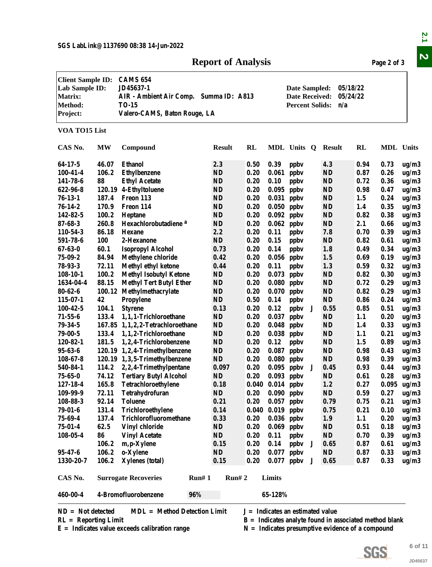### **Report of Analysis Page 2 of 3**

|                                                                                            |           |                                                                                                                        | <b>Report of Analysis</b> |      |                      |                                                                  |   |                                                          |                      | Page 2 of 3      |         |
|--------------------------------------------------------------------------------------------|-----------|------------------------------------------------------------------------------------------------------------------------|---------------------------|------|----------------------|------------------------------------------------------------------|---|----------------------------------------------------------|----------------------|------------------|---------|
| <b>Client Sample ID:</b><br>Lab Sample ID:<br><b>Matrix:</b><br><b>Method:</b><br>Project: |           | <b>CAMS 654</b><br>JD45637-1<br>AIR - Ambient Air Comp. Summa ID: A813<br><b>TO-15</b><br>Valero-CAMS, Baton Rouge, LA |                           |      |                      | Date Sampled:<br><b>Date Received:</b><br><b>Percent Solids:</b> |   | n/a                                                      | 05/18/22<br>05/24/22 |                  |         |
| VOA TO15 List                                                                              |           |                                                                                                                        |                           |      |                      |                                                                  |   |                                                          |                      |                  |         |
| CAS No.                                                                                    | <b>MW</b> | Compound                                                                                                               | <b>Result</b>             | RL   |                      | MDL Units Q                                                      |   | Result                                                   | RL                   | <b>MDL</b> Units |         |
| 64-17-5                                                                                    | 46.07     | <b>Ethanol</b>                                                                                                         | 2.3                       | 0.50 | 0.39                 | ppby                                                             |   | 4.3                                                      | 0.94                 | 0.73             | ug/m3   |
| $100 - 41 - 4$                                                                             | 106.2     | <b>Ethylbenzene</b>                                                                                                    | <b>ND</b>                 | 0.20 | 0.061                | ppby                                                             |   | <b>ND</b>                                                | 0.87                 | 0.26             | ug/m3   |
| 141-78-6                                                                                   | 88        | <b>Ethyl Acetate</b>                                                                                                   | <b>ND</b>                 | 0.20 | 0.10                 | ppby                                                             |   | <b>ND</b>                                                | 0.72                 | 0.36             | ug/m3   |
| 622-96-8                                                                                   |           | 120.19 4-Ethyltoluene                                                                                                  | <b>ND</b>                 | 0.20 | 0.095                | ppby                                                             |   | <b>ND</b>                                                | 0.98                 | 0.47             | ug/m3   |
| $76-13-1$                                                                                  | 187.4     | Freon 113                                                                                                              | <b>ND</b>                 | 0.20 | 0.031                | ppby                                                             |   | <b>ND</b>                                                | 1.5                  | 0.24             | ug/m3   |
| $76 - 14 - 2$                                                                              | 170.9     | Freon 114                                                                                                              | <b>ND</b>                 | 0.20 | 0.050                | ppby                                                             |   | <b>ND</b>                                                | 1.4                  | 0.35             | ug/m3   |
| 142-82-5                                                                                   | 100.2     | Heptane                                                                                                                | <b>ND</b>                 | 0.20 | 0.092                | ppby                                                             |   | <b>ND</b>                                                | 0.82                 | 0.38             | ug/m3   |
| $87 - 68 - 3$                                                                              | 260.8     | Hexachlorobutadiene <sup>a</sup>                                                                                       | <b>ND</b>                 | 0.20 | 0.062                | ppby                                                             |   | <b>ND</b>                                                | 2.1                  | 0.66             | ug/m3   |
| 110-54-3                                                                                   | 86.18     | <b>Hexane</b>                                                                                                          | 2.2                       | 0.20 | 0.11                 | ppby                                                             |   | 7.8                                                      | 0.70                 | 0.39             | ug/m3   |
| 591-78-6                                                                                   | 100       | 2-Hexanone                                                                                                             | <b>ND</b>                 | 0.20 | 0.15                 | ppbv                                                             |   | <b>ND</b>                                                | 0.82                 | 0.61             | ug/m3   |
| $67 - 63 - 0$                                                                              | 60.1      | <b>Isopropyl Alcohol</b>                                                                                               | 0.73                      | 0.20 | 0.14                 | ppby                                                             |   | 1.8                                                      | 0.49                 | 0.34             | ug/m3   |
| $75 - 09 - 2$                                                                              | 84.94     | <b>Methylene chloride</b>                                                                                              | 0.42                      | 0.20 | 0.056                | ppby                                                             |   | 1.5                                                      | 0.69                 | 0.19             |         |
| $78 - 93 - 3$                                                                              | 72.11     |                                                                                                                        | 0.44                      | 0.20 | 0.11                 |                                                                  |   | 1.3                                                      | 0.59                 | 0.32             | ug/m3   |
|                                                                                            | 100.2     | <b>Methyl ethyl ketone</b>                                                                                             | <b>ND</b>                 | 0.20 |                      | ppby                                                             |   | <b>ND</b>                                                | 0.82                 | 0.30             | ug/m3   |
| $108 - 10 - 1$                                                                             | 88.15     | <b>Methyl Isobutyl Ketone</b>                                                                                          |                           |      | 0.073                | ppby                                                             |   |                                                          |                      |                  | ug/m3   |
| 1634-04-4                                                                                  |           | <b>Methyl Tert Butyl Ether</b>                                                                                         | <b>ND</b>                 | 0.20 | 0.080                | ppby                                                             |   | <b>ND</b>                                                | 0.72                 | 0.29             | ug/m3   |
| $80 - 62 - 6$                                                                              | 100.12    | Methylmethacrylate                                                                                                     | <b>ND</b>                 | 0.20 | 0.070                | ppby                                                             |   | <b>ND</b>                                                | 0.82                 | 0.29             | ug/m3   |
| 115-07-1                                                                                   | 42        | Propylene                                                                                                              | ND                        | 0.50 | 0.14                 | ppby                                                             |   | <b>ND</b>                                                | 0.86                 | 0.24             | ug/m3   |
| $100 - 42 - 5$                                                                             | 104.1     | <b>Styrene</b>                                                                                                         | 0.13                      | 0.20 | 0.12                 | ppby                                                             | J | 0.55                                                     | 0.85                 | 0.51             | ug/m3   |
| $71 - 55 - 6$                                                                              | 133.4     | 1,1,1-Trichloroethane                                                                                                  | $\mathbf{ND}$             | 0.20 | 0.037                | ppby                                                             |   | <b>ND</b>                                                | 1.1                  | 0.20             | ug/m3   |
| $79 - 34 - 5$                                                                              |           | 167.85 1,1,2,2-Tetrachloroethane                                                                                       | <b>ND</b>                 | 0.20 | 0.048                | ppby                                                             |   | <b>ND</b>                                                | 1.4                  | 0.33             | ug/m3   |
| $79 - 00 - 5$                                                                              | 133.4     | 1,1,2-Trichloroethane                                                                                                  | <b>ND</b>                 | 0.20 | 0.038                | ppby                                                             |   | <b>ND</b>                                                | 1.1                  | 0.21             | ug/m3   |
| 120-82-1                                                                                   | 181.5     | 1,2,4-Trichlorobenzene                                                                                                 | <b>ND</b>                 | 0.20 | 0.12                 | ppby                                                             |   | <b>ND</b>                                                | 1.5                  | 0.89             | ug/m3   |
| $95 - 63 - 6$                                                                              |           | 120.19 1,2,4-Trimethylbenzene                                                                                          | <b>ND</b>                 | 0.20 | 0.087                | ppby                                                             |   | <b>ND</b>                                                | 0.98                 | 0.43             | ug/m3   |
| $108 - 67 - 8$                                                                             |           | 120.19 1,3,5-Trimethylbenzene                                                                                          | <b>ND</b>                 | 0.20 | $0.080$ ppbv         |                                                                  |   | <b>ND</b>                                                | 0.98                 | 0.39             | ug/m3   |
| 540-84-1                                                                                   |           | 114.2 2,2,4-Trimethylpentane                                                                                           | 0.097                     | 0.20 | $0.095$ ppbv         |                                                                  | J | 0.45                                                     | 0.93                 | 0.44             | ug/m3   |
| $75 - 65 - 0$                                                                              | 74.12     | <b>Tertiary Butyl Alcohol</b>                                                                                          | <b>ND</b>                 | 0.20 | $0.093$ ppbv         |                                                                  |   | <b>ND</b>                                                | 0.61                 | 0.28             | ug/m3   |
| 127-18-4                                                                                   | 165.8     | Tetrachloroethylene                                                                                                    | 0.18                      |      | $0.040$ $0.014$ ppbv |                                                                  |   | 1.2                                                      | 0.27                 | 0.095            | ug/m3   |
| 109-99-9                                                                                   | 72.11     | Tetrahydrofuran                                                                                                        | ND                        | 0.20 | $0.090$ ppbv         |                                                                  |   | <b>ND</b>                                                | 0.59                 | 0.27             | ug/m3   |
| 108-88-3                                                                                   | 92.14     | <b>Toluene</b>                                                                                                         | 0.21                      | 0.20 | $0.057$ ppbv         |                                                                  |   | 0.79                                                     | 0.75                 | 0.21             | ug/m3   |
| 79-01-6                                                                                    | 131.4     | Trichloroethylene                                                                                                      | 0.14                      |      | $0.040$ $0.019$ ppbv |                                                                  |   | 0.75                                                     | 0.21                 | 0.10             | ug/m3   |
| 75-69-4                                                                                    | 137.4     | Trichlorofluoromethane                                                                                                 | 0.33                      | 0.20 | $0.036$ ppbv         |                                                                  |   | 1.9                                                      | 1.1                  | 0.20             | ug/m3   |
| $75 - 01 - 4$                                                                              | 62.5      | Vinyl chloride                                                                                                         | ND                        | 0.20 | $0.069$ ppbv         |                                                                  |   | <b>ND</b>                                                | 0.51                 | 0.18             | ug/m3   |
| $108 - 05 - 4$                                                                             | 86        | <b>Vinyl Acetate</b>                                                                                                   | <b>ND</b>                 | 0.20 | 0.11                 | ppby                                                             |   | <b>ND</b>                                                | 0.70                 | 0.39             | ug/m3   |
|                                                                                            | 106.2     | m, p-Xylene                                                                                                            | 0.15                      | 0.20 | 0.14                 | ppby                                                             | J | 0.65                                                     | 0.87                 | 0.61             | ug/m3   |
| 95-47-6                                                                                    | 106.2     | o-Xylene                                                                                                               | ND                        | 0.20 | 0.077                | ppby                                                             |   | ND                                                       | 0.87                 | 0.33             | ug/m3   |
| 1330-20-7                                                                                  | 106.2     | <b>Xylenes</b> (total)                                                                                                 | 0.15                      | 0.20 |                      | $0.077$ ppbv                                                     | J | 0.65                                                     | 0.87                 | 0.33             | ug/m3   |
| CAS No.                                                                                    |           | <b>Surrogate Recoveries</b>                                                                                            | Run# 1<br>Run# 2          |      | Limits               |                                                                  |   |                                                          |                      |                  |         |
| 460-00-4                                                                                   |           | 4-Bromofluorobenzene<br>96%                                                                                            |                           |      | 65-128%              |                                                                  |   |                                                          |                      |                  |         |
|                                                                                            |           |                                                                                                                        |                           |      |                      |                                                                  |   |                                                          |                      |                  |         |
| $ND = Not detected$                                                                        |           | <b>MDL</b> = Method Detection Limit                                                                                    |                           |      |                      | $J = Indicates$ an estimated value                               |   |                                                          |                      |                  |         |
| $RL =$ Reporting Limit                                                                     |           |                                                                                                                        |                           |      |                      |                                                                  |   | $B =$ Indicates analyte found in associated method blank |                      |                  |         |
|                                                                                            |           | $E =$ Indicates value exceeds calibration range                                                                        |                           |      |                      |                                                                  |   | $N =$ Indicates presumptive evidence of a compound       |                      |                  |         |
|                                                                                            |           |                                                                                                                        |                           |      |                      |                                                                  |   |                                                          |                      |                  |         |
|                                                                                            |           |                                                                                                                        |                           |      |                      |                                                                  |   |                                                          |                      |                  | 6 of 11 |
|                                                                                            |           |                                                                                                                        |                           |      |                      |                                                                  |   |                                                          | SGS                  |                  | JD45637 |
|                                                                                            |           |                                                                                                                        |                           |      |                      |                                                                  |   |                                                          |                      |                  |         |

**SGS**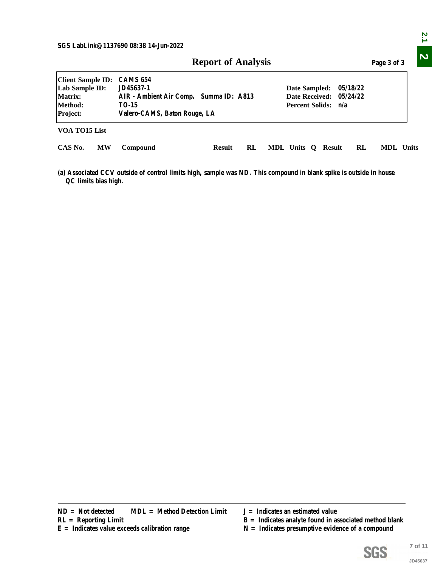| <b>Client Sample ID:</b><br><b>CAMS 654</b><br>Lab Sample ID:<br>JD45637-1<br>Date Sampled:<br>05/18/22<br>AIR - Ambient Air Comp. Summa ID: A813<br><b>Date Received:</b><br>05/24/22<br>Matrix:<br>Method:<br>Percent Solids: n/a<br><b>TO-15</b><br>Project:<br>Valero-CAMS, Baton Rouge, LA<br>VOA TO15 List<br>CAS No.<br><b>MW</b><br>Compound<br><b>Result</b><br>RL<br>MDL Units Q Result<br>RL<br>MDL Units<br>(a) Associated CCV outside of control limits high, sample was ND. This compound in blank spike is outside in house<br>QC limits bias high.<br><b>MDL</b> = Method Detection Limit<br>$ND = Not detected$<br>$J =$ Indicates an estimated value<br>$B =$ Indicates analyte found in associated method blank<br>$RL =$ Reporting Limit<br>$N =$ Indicates presumptive evidence of a compound<br>$E =$ Indicates value exceeds calibration range |  | <b>Report of Analysis</b> | Page 3 of 3 |  |  |  |  |  |  |  |  |
|-----------------------------------------------------------------------------------------------------------------------------------------------------------------------------------------------------------------------------------------------------------------------------------------------------------------------------------------------------------------------------------------------------------------------------------------------------------------------------------------------------------------------------------------------------------------------------------------------------------------------------------------------------------------------------------------------------------------------------------------------------------------------------------------------------------------------------------------------------------------------|--|---------------------------|-------------|--|--|--|--|--|--|--|--|
|                                                                                                                                                                                                                                                                                                                                                                                                                                                                                                                                                                                                                                                                                                                                                                                                                                                                       |  |                           |             |  |  |  |  |  |  |  |  |
|                                                                                                                                                                                                                                                                                                                                                                                                                                                                                                                                                                                                                                                                                                                                                                                                                                                                       |  |                           |             |  |  |  |  |  |  |  |  |
|                                                                                                                                                                                                                                                                                                                                                                                                                                                                                                                                                                                                                                                                                                                                                                                                                                                                       |  |                           |             |  |  |  |  |  |  |  |  |
|                                                                                                                                                                                                                                                                                                                                                                                                                                                                                                                                                                                                                                                                                                                                                                                                                                                                       |  |                           |             |  |  |  |  |  |  |  |  |
|                                                                                                                                                                                                                                                                                                                                                                                                                                                                                                                                                                                                                                                                                                                                                                                                                                                                       |  |                           |             |  |  |  |  |  |  |  |  |
|                                                                                                                                                                                                                                                                                                                                                                                                                                                                                                                                                                                                                                                                                                                                                                                                                                                                       |  |                           |             |  |  |  |  |  |  |  |  |
|                                                                                                                                                                                                                                                                                                                                                                                                                                                                                                                                                                                                                                                                                                                                                                                                                                                                       |  |                           |             |  |  |  |  |  |  |  |  |

- 
- 
- $N =$  Indicates presumptive evidence of a compound

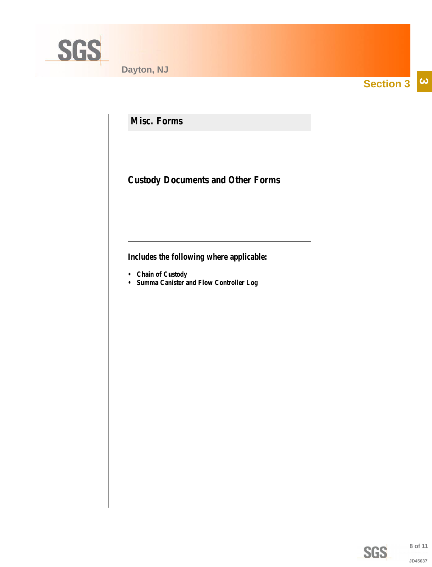<span id="page-7-0"></span>

**Section 3**  $|\boldsymbol{\omega}|$ 

**Misc. Forms**

**Custody Documents and Other Forms**

**Includes the following where applicable:**

- **Chain of Custody**
- **Summa Canister and Flow Controller Log**

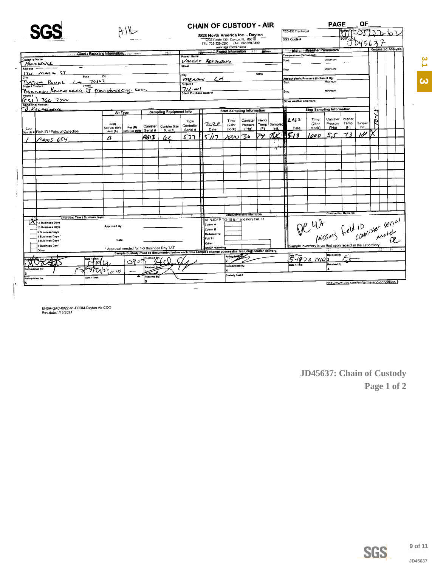<span id="page-8-0"></span>

|                                         |                                |                                                                                                          | <b>CHAIN OF CUSTODY - AIR</b>  |                                   |                                                                     |                    |                                   |              | <b>OF</b><br><b>PAGE</b> |                                                             |                                  |                           |                  |         |   |                                            |
|-----------------------------------------|--------------------------------|----------------------------------------------------------------------------------------------------------|--------------------------------|-----------------------------------|---------------------------------------------------------------------|--------------------|-----------------------------------|--------------|--------------------------|-------------------------------------------------------------|----------------------------------|---------------------------|------------------|---------|---|--------------------------------------------|
|                                         |                                |                                                                                                          |                                |                                   |                                                                     |                    |                                   |              |                          | FED-EX Tracking #                                           |                                  |                           |                  |         |   |                                            |
|                                         |                                |                                                                                                          |                                |                                   | SGS North America Inc. - Dayton<br>2235 Route 130, Dayton, NJ 08810 |                    |                                   |              |                          | SGS Quote #                                                 |                                  |                           |                  |         |   |                                            |
|                                         |                                |                                                                                                          |                                |                                   | TEL. 732-329-0200 FAX 732-329-3499                                  | www.sgs.com/ehsusa |                                   |              |                          |                                                             |                                  |                           |                  |         |   |                                            |
|                                         |                                |                                                                                                          |                                |                                   |                                                                     |                    | <b>Project Information</b>        | <b>River</b> |                          | <b>Service Contractor</b>                                   | <b>Wesher Parameters</b>         |                           |                  |         |   | <b>Requested Analysis</b>                  |
|                                         | Client / Reporting Information |                                                                                                          |                                | Project Name:                     |                                                                     |                    |                                   |              |                          | Femperature (Fahrenheit)                                    |                                  |                           |                  |         |   |                                            |
| <b>Company Name</b><br>PROVIDENCE       |                                |                                                                                                          |                                | Voiciv                            | REFINITING                                                          |                    |                                   |              |                          | tart:                                                       |                                  | Maximum:                  |                  |         |   |                                            |
| Address                                 |                                |                                                                                                          |                                | Street                            |                                                                     |                    |                                   |              |                          | Stop                                                        |                                  | Minimum:                  |                  |         |   |                                            |
| MALL ST<br>ان7<br>State                 | Zip                            |                                                                                                          |                                | City                              |                                                                     |                    |                                   | <b>State</b> |                          |                                                             |                                  |                           |                  |         |   |                                            |
| City<br>BATOM ROUGE                     | $701 - 7$                      |                                                                                                          |                                | menam                             | مرح                                                                 |                    |                                   |              |                          | Atmoshpheric Pressure (inches of Hg)<br>Start:              |                                  | Maximum:                  |                  |         |   |                                            |
| E-mail<br><b>Project Contact</b>        |                                |                                                                                                          |                                | Project#                          |                                                                     |                    |                                   |              |                          |                                                             |                                  |                           |                  |         |   |                                            |
| Bannoon Keingmasy 5 providence eig. com |                                |                                                                                                          |                                | 712.00<br>Client Purchase Order # |                                                                     |                    |                                   |              |                          | Stop:                                                       |                                  | Minimum:                  |                  |         |   |                                            |
| $\overline{\mathcal{E}}$                |                                |                                                                                                          |                                |                                   |                                                                     |                    |                                   |              |                          |                                                             |                                  |                           |                  |         |   |                                            |
| 766.74w<br>Sampler(s) Name(s)           |                                |                                                                                                          |                                |                                   |                                                                     |                    |                                   |              |                          | Other weather comment:                                      |                                  |                           |                  |         |   |                                            |
| <u> B.Kurstssu</u>                      |                                |                                                                                                          | <b>Sampling Equipment Info</b> |                                   |                                                                     |                    | <b>Start Sampling Information</b> |              |                          |                                                             | <b>Stop Sampling Information</b> |                           |                  |         |   |                                            |
|                                         | Air Type                       |                                                                                                          |                                |                                   |                                                                     |                    |                                   |              |                          |                                                             |                                  |                           |                  |         |   |                                            |
|                                         | Ind(0)                         |                                                                                                          |                                | Flow                              | 2022                                                                | Time               | Canister                          | Interior     |                          | 1022                                                        | Time<br>(24hr                    | Canister<br>Pressure      | Interior<br>Temp | Sampler | o |                                            |
| Lab                                     | Soil Vap (SV)                  | Canister<br>Res (R)                                                                                      | Canister Size                  | Controller<br>Serial #            | Date                                                                | (24hr<br>clock)    | Pressure<br>(THa)                 | Temp<br>(F)  | Sampler<br>init.         | Date                                                        | clock)                           | $($ Hg)                   | (F)              | Init.   |   |                                            |
| Sample # Field ID / Point of Collection | Amb (A)                        | Serial #<br>Non-Res (NR)                                                                                 | 6L or 1L                       |                                   |                                                                     |                    |                                   | プン           |                          | 518                                                         | 000                              | 5.<br>سم∶                 | 73               | שו      |   |                                            |
| Aams 654                                | $\boldsymbol{a}$               | 4913                                                                                                     | 6 <sub>L</sub>                 | 537                               | רוא                                                                 | んしいてい              |                                   |              |                          |                                                             |                                  |                           |                  |         |   |                                            |
|                                         |                                |                                                                                                          |                                |                                   |                                                                     |                    |                                   |              |                          |                                                             |                                  |                           |                  |         |   |                                            |
|                                         |                                |                                                                                                          |                                |                                   |                                                                     |                    |                                   |              | a                        |                                                             |                                  |                           |                  |         |   |                                            |
|                                         |                                |                                                                                                          |                                |                                   |                                                                     |                    |                                   |              |                          |                                                             |                                  |                           |                  |         |   |                                            |
|                                         |                                |                                                                                                          |                                |                                   |                                                                     |                    |                                   |              |                          |                                                             |                                  |                           |                  |         |   |                                            |
|                                         |                                |                                                                                                          |                                |                                   |                                                                     |                    |                                   |              |                          |                                                             |                                  |                           |                  |         |   |                                            |
|                                         |                                |                                                                                                          |                                |                                   |                                                                     |                    |                                   |              |                          |                                                             |                                  |                           |                  |         |   |                                            |
|                                         |                                |                                                                                                          |                                |                                   |                                                                     |                    |                                   |              |                          |                                                             |                                  |                           |                  |         |   |                                            |
|                                         |                                |                                                                                                          |                                |                                   |                                                                     |                    |                                   |              |                          |                                                             |                                  |                           |                  |         |   |                                            |
|                                         |                                |                                                                                                          |                                |                                   |                                                                     |                    |                                   |              |                          |                                                             |                                  |                           |                  |         |   |                                            |
|                                         |                                |                                                                                                          |                                |                                   |                                                                     |                    |                                   |              |                          |                                                             |                                  |                           |                  |         |   |                                            |
|                                         |                                |                                                                                                          |                                |                                   |                                                                     |                    |                                   |              |                          |                                                             |                                  |                           |                  |         |   |                                            |
|                                         |                                |                                                                                                          |                                |                                   |                                                                     |                    |                                   |              |                          |                                                             |                                  |                           |                  |         |   |                                            |
| Turnaround Time (Business days)         |                                |                                                                                                          |                                |                                   |                                                                     |                    | Data Deliverable Information      |              |                          |                                                             |                                  | <b>Comments</b> / Remarks |                  |         |   |                                            |
| 15 Business Days                        |                                |                                                                                                          |                                |                                   | All NJDEP TO-15 is mandatory Full T1<br>Comm A                      |                    |                                   |              |                          |                                                             |                                  |                           |                  |         |   |                                            |
| 10 Business Days                        | Approved By:                   |                                                                                                          |                                |                                   | LComm B                                                             |                    |                                   |              |                          |                                                             |                                  |                           |                  |         |   |                                            |
| 5 Business Days<br>3 Business Days      |                                |                                                                                                          |                                |                                   | Reduced T2                                                          |                    |                                   |              |                          |                                                             |                                  |                           |                  |         |   | De 4A pressing field in where server       |
| 2 Business Days                         | Date:                          |                                                                                                          |                                |                                   | IFull T1                                                            |                    |                                   |              |                          |                                                             |                                  |                           |                  |         |   |                                            |
| <b>Business Day</b>                     |                                | * Approval needed for 1-3 Business Day TAT                                                               |                                |                                   | Other:<br><b>DKQP</b> reporting                                     |                    |                                   |              |                          | Sample inventory is verified upon receipt in the Laboratory |                                  |                           |                  |         |   |                                            |
| Other                                   |                                | Sample Custody must be documented below each time samples change possession, including courier delivery. |                                |                                   |                                                                     |                    |                                   |              |                          |                                                             |                                  | GG.                       |                  |         |   |                                            |
| by Labe                                 |                                |                                                                                                          |                                |                                   |                                                                     | tellnguioff        |                                   |              |                          | Date / Time:<br>$5 - 18 - 72$ 14102                         |                                  | Received By:              |                  |         |   |                                            |
|                                         | íΘ                             | د9ن                                                                                                      |                                |                                   |                                                                     | Relinquished By:   |                                   |              |                          | Date / Time                                                 |                                  | Received By:              |                  |         |   |                                            |
| telinquished by                         | Fiylir <u>ow</u>               |                                                                                                          |                                |                                   |                                                                     |                    |                                   |              |                          |                                                             |                                  |                           |                  |         |   |                                            |
|                                         | Data / Time:                   | Received By                                                                                              |                                |                                   |                                                                     | Custody Seal #     |                                   |              |                          |                                                             |                                  |                           |                  |         |   |                                            |
| Relinquished by:                        |                                | ls.                                                                                                      |                                |                                   |                                                                     |                    |                                   |              |                          |                                                             |                                  |                           |                  |         |   | http://www.sgs.com/en/terms-and-conditions |
|                                         |                                |                                                                                                          |                                |                                   |                                                                     |                    |                                   |              |                          |                                                             |                                  |                           |                  |         |   |                                            |

EHSA-QAC-0022-01-FORM-Dayton-Air COC<br>Rev.date:1/15/2021

 $\ddot{ }$ 

 $\int$ 

JD45637: Chain of Custody Page 1 of 2



**SGS** 

 $3.1$ 

B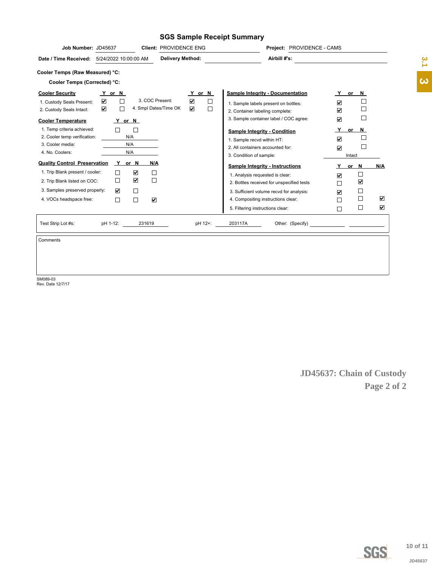### **SGS Sample Receipt Summary**

| Job Number: JD45637                                                    |                           |                      |                                                     | Client: PROVIDENCE ENG  |                                                                 |                  |                                                                                | Project: PROVIDENCE - CAMS |                           |                                                            |                      |                      |                       |
|------------------------------------------------------------------------|---------------------------|----------------------|-----------------------------------------------------|-------------------------|-----------------------------------------------------------------|------------------|--------------------------------------------------------------------------------|----------------------------|---------------------------|------------------------------------------------------------|----------------------|----------------------|-----------------------|
| Date / Time Received: 5/24/2022 10:00:00 AM                            |                           |                      |                                                     | <b>Delivery Method:</b> |                                                                 |                  |                                                                                | Airbill #'s:               |                           |                                                            |                      |                      | 3.1                   |
| Cooler Temps (Raw Measured) °C:                                        |                           |                      |                                                     |                         |                                                                 |                  |                                                                                |                            |                           |                                                            |                      |                      |                       |
| Cooler Temps (Corrected) °C:                                           |                           |                      |                                                     |                         |                                                                 |                  |                                                                                |                            |                           |                                                            |                      |                      | $\boldsymbol{\omega}$ |
| <b>Cooler Security</b>                                                 | Y or N                    |                      |                                                     |                         | Y or N                                                          |                  | <b>Sample Integrity - Documentation</b>                                        |                            |                           |                                                            | <u>Y</u> or N        |                      |                       |
| 1. Custody Seals Present:<br>2. Custody Seals Intact:                  | ☑<br>$\blacktriangledown$ | $\Box$<br>$\Box$     | 3. COC Present:                                     | 4. Smpl Dates/Time OK   | $\color{red}\blacktriangledown$<br>$\boxed{\blacktriangledown}$ | $\Box$<br>$\Box$ | 1. Sample labels present on bottles:<br>2. Container labeling complete:        |                            |                           | $\color{red}\blacktriangledown$<br>$\overline{\mathbf{v}}$ | $\Box$<br>$\Box$     |                      |                       |
| <b>Cooler Temperature</b>                                              |                           | Y or N               |                                                     |                         |                                                                 |                  | 3. Sample container label / COC agree:                                         |                            |                           | $\overline{\textbf{v}}$                                    | $\Box$               |                      |                       |
| 1. Temp criteria achieved:<br>2. Cooler temp verification:             |                           | $\Box$<br>N/A        | $\Box$                                              |                         |                                                                 |                  | <b>Sample Integrity - Condition</b><br>1. Sample recvd within HT:              |                            |                           | <u>Y</u><br>☑                                              | $or$ N<br>$\Box$     |                      |                       |
| 3. Cooler media:<br>4. No. Coolers:                                    |                           | N/A<br>N/A           |                                                     |                         |                                                                 |                  | 2. All containers accounted for:                                               |                            |                           | $\overline{\textbf{v}}$                                    | $\Box$               |                      |                       |
|                                                                        |                           |                      |                                                     |                         |                                                                 |                  | 3. Condition of sample:                                                        |                            |                           |                                                            | Intact               |                      |                       |
| <b>Quality Control Preservation</b><br>1. Trip Blank present / cooler: |                           | Y or N<br>$\Box$     | <u>N/A</u><br>$\color{red}\blacktriangledown$       |                         |                                                                 |                  | <b>Sample Integrity - Instructions</b>                                         |                            |                           | Y                                                          | or $N$               | N/A                  |                       |
| 2. Trip Blank listed on COC:                                           |                           | $\Box$               | $\Box$<br>$\color{red}\blacktriangledown$<br>$\Box$ |                         |                                                                 |                  | 1. Analysis requested is clear:                                                |                            |                           | $\overline{\mathbf{v}}$                                    | $\Box$               |                      |                       |
| 3. Samples preserved properly:                                         |                           | $\blacktriangledown$ | $\Box$                                              |                         |                                                                 |                  | 2. Bottles received for unspecified tests                                      |                            |                           | $\Box$                                                     | $\blacktriangledown$ |                      |                       |
| 4. VOCs headspace free:                                                |                           | $\Box$               | $\Box$<br>$\color{red}\blacktriangledown$           |                         |                                                                 |                  | 3. Sufficient volume recvd for analysis:<br>4. Compositing instructions clear: |                            |                           | $\boxed{\blacktriangledown}$<br>□                          | $\Box$<br>$\Box$     | $\blacktriangledown$ |                       |
|                                                                        |                           |                      |                                                     |                         |                                                                 |                  | 5. Filtering instructions clear:                                               |                            |                           | $\Box$                                                     | $\Box$               | $\blacktriangledown$ |                       |
|                                                                        |                           |                      |                                                     |                         |                                                                 |                  |                                                                                |                            |                           |                                                            |                      |                      |                       |
| Test Strip Lot #s:                                                     | pH 1-12:                  |                      | 231619                                              |                         |                                                                 | pH 12+:          | 203117A                                                                        |                            |                           |                                                            |                      |                      |                       |
| Comments                                                               |                           |                      |                                                     |                         |                                                                 |                  |                                                                                |                            |                           |                                                            |                      |                      |                       |
|                                                                        |                           |                      |                                                     |                         |                                                                 |                  |                                                                                |                            |                           |                                                            |                      |                      |                       |
|                                                                        |                           |                      |                                                     |                         |                                                                 |                  |                                                                                |                            |                           |                                                            |                      |                      |                       |
|                                                                        |                           |                      |                                                     |                         |                                                                 |                  |                                                                                |                            |                           |                                                            |                      |                      |                       |
| SM089-03                                                               |                           |                      |                                                     |                         |                                                                 |                  |                                                                                |                            |                           |                                                            |                      |                      |                       |
| Rev. Date 12/7/17                                                      |                           |                      |                                                     |                         |                                                                 |                  |                                                                                |                            |                           |                                                            |                      |                      |                       |
|                                                                        |                           |                      |                                                     |                         |                                                                 |                  |                                                                                |                            |                           |                                                            |                      |                      |                       |
|                                                                        |                           |                      |                                                     |                         |                                                                 |                  |                                                                                |                            |                           |                                                            |                      |                      |                       |
|                                                                        |                           |                      |                                                     |                         |                                                                 |                  |                                                                                |                            |                           |                                                            |                      |                      |                       |
|                                                                        |                           |                      |                                                     |                         |                                                                 |                  |                                                                                |                            |                           |                                                            |                      |                      |                       |
|                                                                        |                           |                      |                                                     |                         |                                                                 |                  |                                                                                |                            |                           |                                                            |                      |                      |                       |
|                                                                        |                           |                      |                                                     |                         |                                                                 |                  |                                                                                |                            |                           |                                                            |                      |                      |                       |
|                                                                        |                           |                      |                                                     |                         |                                                                 |                  |                                                                                |                            |                           |                                                            |                      |                      |                       |
|                                                                        |                           |                      |                                                     |                         |                                                                 |                  |                                                                                |                            | JD45637: Chain of Custody |                                                            |                      |                      |                       |
|                                                                        |                           |                      |                                                     |                         |                                                                 |                  |                                                                                |                            |                           |                                                            |                      | Page 2 of 2          |                       |
|                                                                        |                           |                      |                                                     |                         |                                                                 |                  |                                                                                |                            |                           |                                                            |                      |                      |                       |
|                                                                        |                           |                      |                                                     |                         |                                                                 |                  |                                                                                |                            |                           |                                                            |                      |                      |                       |
|                                                                        |                           |                      |                                                     |                         |                                                                 |                  |                                                                                |                            |                           |                                                            |                      |                      |                       |
|                                                                        |                           |                      |                                                     |                         |                                                                 |                  |                                                                                |                            |                           |                                                            |                      |                      |                       |
|                                                                        |                           |                      |                                                     |                         |                                                                 |                  |                                                                                |                            |                           |                                                            |                      |                      |                       |
|                                                                        |                           |                      |                                                     |                         |                                                                 |                  |                                                                                |                            |                           |                                                            |                      |                      |                       |
|                                                                        |                           |                      |                                                     |                         |                                                                 |                  |                                                                                |                            |                           |                                                            |                      |                      |                       |
|                                                                        |                           |                      |                                                     |                         |                                                                 |                  |                                                                                |                            |                           |                                                            |                      |                      |                       |
|                                                                        |                           |                      |                                                     |                         |                                                                 |                  |                                                                                |                            |                           |                                                            |                      |                      |                       |
|                                                                        |                           |                      |                                                     |                         |                                                                 |                  |                                                                                |                            |                           |                                                            |                      |                      |                       |
|                                                                        |                           |                      |                                                     |                         |                                                                 |                  |                                                                                |                            |                           |                                                            |                      |                      |                       |
|                                                                        |                           |                      |                                                     |                         |                                                                 |                  |                                                                                |                            |                           |                                                            |                      |                      |                       |
|                                                                        |                           |                      |                                                     |                         |                                                                 |                  |                                                                                |                            |                           |                                                            |                      |                      |                       |
|                                                                        |                           |                      |                                                     |                         |                                                                 |                  |                                                                                |                            |                           |                                                            |                      |                      |                       |
|                                                                        |                           |                      |                                                     |                         |                                                                 |                  |                                                                                |                            |                           |                                                            |                      |                      |                       |
|                                                                        |                           |                      |                                                     |                         |                                                                 |                  |                                                                                |                            |                           |                                                            |                      |                      |                       |
|                                                                        |                           |                      |                                                     |                         |                                                                 |                  |                                                                                |                            |                           |                                                            |                      |                      |                       |
|                                                                        |                           |                      |                                                     |                         |                                                                 |                  |                                                                                |                            |                           |                                                            |                      | <b>SGS</b>           | 10 of 11              |
|                                                                        |                           |                      |                                                     |                         |                                                                 |                  |                                                                                |                            |                           |                                                            |                      |                      | JD45637               |